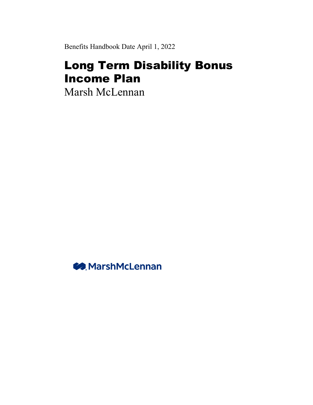Benefits Handbook Date April 1, 2022

# Long Term Disability Bonus Income Plan

Marsh McLennan

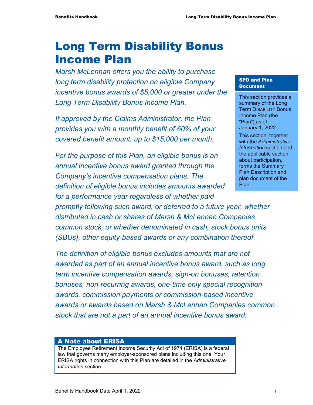# Long Term Disability Bonus Income Plan

*Marsh McLennan offers you the ability to purchase long term disability protection on eligible Company incentive bonus awards of \$5,000 or greater under the Long Term Disability Bonus Income Plan.* 

*If approved by the Claims Administrator, the Plan provides you with a monthly benefit of 60% of your covered benefit amount, up to \$15,000 per month.* 

*For the purpose of this Plan, an eligible bonus is an annual incentive bonus award granted through the Company's incentive compensation plans. The definition of eligible bonus includes amounts awarded* 

*for a performance year regardless of whether paid* 

*promptly following such award, or deferred to a future year, whether distributed in cash or shares of Marsh & McLennan Companies common stock, or whether denominated in cash, stock bonus units (SBUs), other equity-based awards or any combination thereof.* 

*The definition of eligible bonus excludes amounts that are not awarded as part of an annual incentive bonus award, such as long term incentive compensation awards, sign-on bonuses, retention bonuses, non-recurring awards, one-time only special recognition awards, commission payments or commission-based incentive awards or awards based on Marsh & McLennan Companies common stock that are not a part of an annual incentive bonus award.* 

### A Note about ERISA

The Employee Retirement Income Security Act of 1974 (ERISA) is a federal law that governs many employer-sponsored plans including this one. Your ERISA rights in connection with this Plan are detailed in the *Administrative Information* section.

#### SPD and Plan **Document**

This section provides a summary of the Long Term DISABILITY Bonus Income Plan (the "Plan") as of January 1, 2022.

This section, together with the *Administrative Information* section and the applicable section about participation, forms the Summary Plan Description and plan document of the Plan.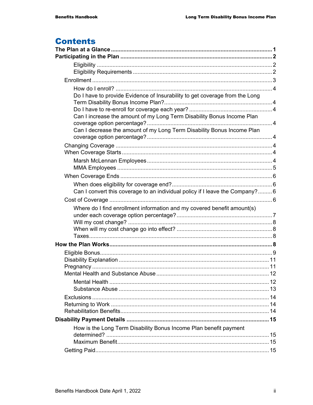# **Contents**

| Do I have to provide Evidence of Insurability to get coverage from the Long  |  |
|------------------------------------------------------------------------------|--|
|                                                                              |  |
|                                                                              |  |
| Can I increase the amount of my Long Term Disability Bonus Income Plan       |  |
| Can I decrease the amount of my Long Term Disability Bonus Income Plan       |  |
|                                                                              |  |
|                                                                              |  |
|                                                                              |  |
|                                                                              |  |
|                                                                              |  |
|                                                                              |  |
| Can I convert this coverage to an individual policy if I leave the Company?6 |  |
|                                                                              |  |
| Where do I find enrollment information and my covered benefit amount(s)      |  |
|                                                                              |  |
|                                                                              |  |
|                                                                              |  |
|                                                                              |  |
|                                                                              |  |
|                                                                              |  |
|                                                                              |  |
|                                                                              |  |
|                                                                              |  |
|                                                                              |  |
|                                                                              |  |
|                                                                              |  |
|                                                                              |  |
|                                                                              |  |
| How is the Long Term Disability Bonus Income Plan benefit payment            |  |
|                                                                              |  |
|                                                                              |  |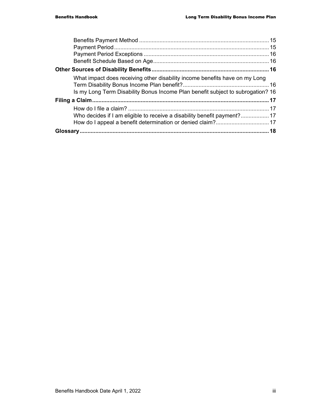| What impact does receiving other disability income benefits have on my Long<br>Is my Long Term Disability Bonus Income Plan benefit subject to subrogation? 16 |  |
|----------------------------------------------------------------------------------------------------------------------------------------------------------------|--|
|                                                                                                                                                                |  |
|                                                                                                                                                                |  |
| Who decides if I am eligible to receive a disability benefit payment?17                                                                                        |  |
|                                                                                                                                                                |  |
|                                                                                                                                                                |  |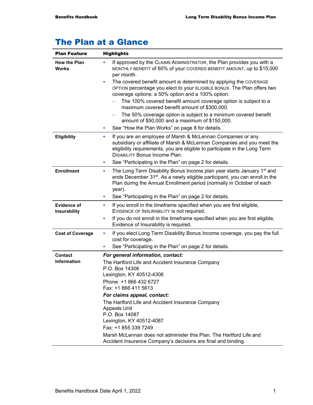# The Plan at a Glance

| <b>Plan Feature</b>                  | <b>Highlights</b>                                                                                                                                                                                                                                                                                                                                                                                                                                                                                                                                                                                                                                                           |  |
|--------------------------------------|-----------------------------------------------------------------------------------------------------------------------------------------------------------------------------------------------------------------------------------------------------------------------------------------------------------------------------------------------------------------------------------------------------------------------------------------------------------------------------------------------------------------------------------------------------------------------------------------------------------------------------------------------------------------------------|--|
| <b>How the Plan</b><br><b>Works</b>  | If approved by the CLAIMS ADMINISTRATOR, the Plan provides you with a<br>×<br>MONTHLY BENEFIT of 60% of your COVERED BENEFIT AMOUNT, up to \$15,000<br>per month.<br>The covered benefit amount is determined by applying the COVERAGE<br>×<br>OPTION percentage you elect to your ELIGIBLE BONUS. The Plan offers two<br>coverage options: a 50% option and a 100% option.<br>The 100% covered benefit amount coverage option is subject to a<br>maximum covered benefit amount of \$300,000.<br>The 50% coverage option is subject to a minimum covered benefit<br>-<br>amount of \$50,000 and a maximum of \$150,000.<br>See "How the Plan Works" on page 8 for details. |  |
| Eligibility                          | If you are an employee of Marsh & McLennan Companies or any<br>×<br>subsidiary or affiliate of Marsh & McLennan Companies and you meet the<br>eligibility requirements, you are eligible to participate in the Long Term<br><b>DISABILITY Bonus Income Plan.</b><br>See "Participating in the Plan" on page 2 for details.<br>×                                                                                                                                                                                                                                                                                                                                             |  |
| <b>Enrollment</b>                    | The Long Term Disability Bonus Income plan year starts January 1 <sup>st</sup> and<br>×<br>ends December 31 <sup>st</sup> . As a newly eligible participant, you can enroll in the<br>Plan during the Annual Enrollment period (normally in October of each<br>year).<br>See "Participating in the Plan" on page 2 for details.<br>×                                                                                                                                                                                                                                                                                                                                        |  |
| <b>Evidence of</b><br>Insurability   | If you enroll in the timeframe specified when you are first eligible,<br>×<br>EVIDENCE OF INSURABILITY is not required.<br>If you do not enroll in the timeframe specified when you are first eligible,<br>Evidence of Insurability is required.                                                                                                                                                                                                                                                                                                                                                                                                                            |  |
| <b>Cost of Coverage</b>              | If you elect Long Term Disability Bonus Income coverage, you pay the full<br>ш<br>cost for coverage.<br>See "Participating in the Plan" on page 2 for details.<br>×                                                                                                                                                                                                                                                                                                                                                                                                                                                                                                         |  |
| <b>Contact</b><br><b>Information</b> | For general information, contact:<br>The Hartford Life and Accident Insurance Company<br>P.O. Box 14306<br>Lexington, KY 40512-4306<br>Phone: +1 866 432 6727<br>Fax: +1 866 411 5613<br>For claims appeal, contact:<br>The Hartford Life and Accident Insurance Company<br><b>Appeals Unit</b><br>P.O. Box 14087<br>Lexington, KY 40512-4087<br>Fax: +1 855 339 7249<br>Marsh McLennan does not administer this Plan. The Hartford Life and<br>Accident Insurance Company's decisions are final and binding.                                                                                                                                                               |  |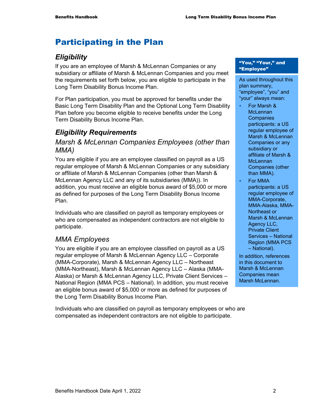# Participating in the Plan

# *Eligibility*

If you are an employee of Marsh & McLennan Companies or any subsidiary or affiliate of Marsh & McLennan Companies and you meet the requirements set forth below, you are eligible to participate in the Long Term Disability Bonus Income Plan.

For Plan participation, you must be approved for benefits under the Basic Long Term Disability Plan and the Optional Long Term Disability Plan before you become eligible to receive benefits under the Long Term Disability Bonus Income Plan.

# *Eligibility Requirements*

### *Marsh & McLennan Companies Employees (other than MMA)*

You are eligible if you are an employee classified on payroll as a US regular employee of Marsh & McLennan Companies or any subsidiary or affiliate of Marsh & McLennan Companies (other than Marsh & McLennan Agency LLC and any of its subsidiaries (MMA)). In addition, you must receive an eligible bonus award of \$5,000 or more as defined for purposes of the Long Term Disability Bonus Income Plan.

Individuals who are classified on payroll as temporary employees or who are compensated as independent contractors are not eligible to participate.

# *MMA Employees*

You are eligible if you are an employee classified on payroll as a US regular employee of Marsh & McLennan Agency LLC – Corporate (MMA-Corporate), Marsh & McLennan Agency LLC – Northeast (MMA-Northeast), Marsh & McLennan Agency LLC – Alaska (MMA-Alaska) or Marsh & McLennan Agency LLC, Private Client Services – National Region (MMA PCS – National). In addition, you must receive an eligible bonus award of \$5,000 or more as defined for purposes of the Long Term Disability Bonus Income Plan.

Individuals who are classified on payroll as temporary employees or who are compensated as independent contractors are not eligible to participate.

#### "You," "Your," and "Employee"

As used throughout this plan summary, "employee", "you" and "your" always mean:

- For Marsh & **McLennan Companies** participants: a US regular employee of Marsh & McLennan Companies or any subsidiary or affiliate of Marsh & **McLennan** Companies (other than MMA).
- **For MMA** participants: a US regular employee of MMA-Corporate, MMA-Alaska, MMA-Northeast or Marsh & McLennan Agency LLC, Private Client Services – National Region (MMA PCS – National).

In addition, references in this document to Marsh & McLennan Companies mean Marsh McLennan.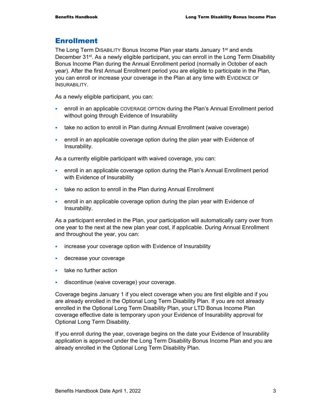# Enrollment

The Long Term DISABILITY Bonus Income Plan year starts January 1<sup>st</sup> and ends December 31<sup>st</sup>. As a newly eligible participant, you can enroll in the Long Term Disability Bonus Income Plan during the Annual Enrollment period (normally in October of each year). After the first Annual Enrollment period you are eligible to participate in the Plan, you can enroll or increase your coverage in the Plan at any time with EVIDENCE OF INSURABILITY.

As a newly eligible participant, you can:

- enroll in an applicable COVERAGE OPTION during the Plan's Annual Enrollment period without going through Evidence of Insurability
- take no action to enroll in Plan during Annual Enrollment (waive coverage)
- enroll in an applicable coverage option during the plan year with Evidence of Insurability.

As a currently eligible participant with waived coverage, you can:

- enroll in an applicable coverage option during the Plan's Annual Enrollment period with Evidence of Insurability
- take no action to enroll in the Plan during Annual Enrollment
- enroll in an applicable coverage option during the plan year with Evidence of Insurability.

As a participant enrolled in the Plan, your participation will automatically carry over from one year to the next at the new plan year cost, if applicable. During Annual Enrollment and throughout the year, you can:

- **i** increase your coverage option with Evidence of Insurability
- **decrease your coverage**
- **take no further action**
- discontinue (waive coverage) your coverage.

Coverage begins January 1 if you elect coverage when you are first eligible and if you are already enrolled in the Optional Long Term Disability Plan. If you are not already enrolled in the Optional Long Term Disability Plan, your LTD Bonus Income Plan coverage effective date is temporary upon your Evidence of Insurability approval for Optional Long Term Disability.

If you enroll during the year, coverage begins on the date your Evidence of Insurability application is approved under the Long Term Disability Bonus Income Plan and you are already enrolled in the Optional Long Term Disability Plan.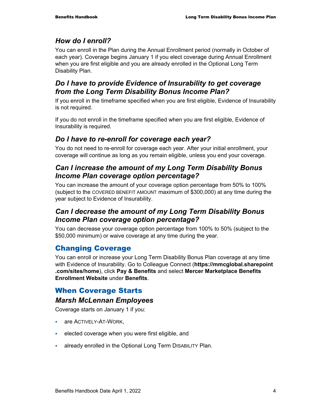# *How do I enroll?*

You can enroll in the Plan during the Annual Enrollment period (normally in October of each year). Coverage begins January 1 if you elect coverage during Annual Enrollment when you are first eligible and you are already enrolled in the Optional Long Term Disability Plan.

# *Do I have to provide Evidence of Insurability to get coverage from the Long Term Disability Bonus Income Plan?*

If you enroll in the timeframe specified when you are first eligible, Evidence of Insurability is not required.

If you do not enroll in the timeframe specified when you are first eligible, Evidence of Insurability is required.

# *Do I have to re-enroll for coverage each year?*

You do not need to re-enroll for coverage each year. After your initial enrollment, your coverage will continue as long as you remain eligible, unless you end your coverage.

# *Can I increase the amount of my Long Term Disability Bonus Income Plan coverage option percentage?*

You can increase the amount of your coverage option percentage from 50% to 100% (subject to the COVERED BENEFIT AMOUNT maximum of \$300,000) at any time during the year subject to Evidence of Insurability.

# *Can I decrease the amount of my Long Term Disability Bonus Income Plan coverage option percentage?*

You can decrease your coverage option percentage from 100% to 50% (subject to the \$50,000 minimum) or waive coverage at any time during the year.

# Changing Coverage

You can enroll or increase your Long Term Disability Bonus Plan coverage at any time with Evidence of Insurability. Go to Colleague Connect (**https://mmcglobal.sharepoint .com/sites/home**), click **Pay & Benefits** and select **Mercer Marketplace Benefits Enrollment Website** under **Benefits**.

# When Coverage Starts

# *Marsh McLennan Employees*

Coverage starts on January 1 if you:

- **are ACTIVELY-AT-WORK,**
- elected coverage when you were first eligible, and
- already enrolled in the Optional Long Term DISABILITY Plan.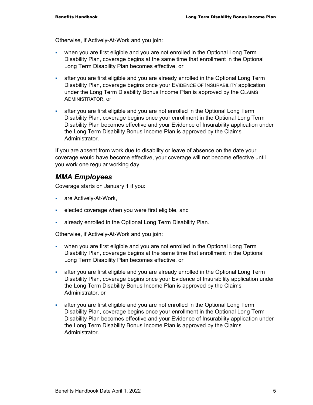Otherwise, if Actively-At-Work and you join:

- when you are first eligible and you are not enrolled in the Optional Long Term Disability Plan, coverage begins at the same time that enrollment in the Optional Long Term Disability Plan becomes effective, or
- after you are first eligible and you are already enrolled in the Optional Long Term Disability Plan, coverage begins once your EVIDENCE OF INSURABILITY application under the Long Term Disability Bonus Income Plan is approved by the CLAIMS ADMINISTRATOR, or
- after you are first eligible and you are not enrolled in the Optional Long Term Disability Plan, coverage begins once your enrollment in the Optional Long Term Disability Plan becomes effective and your Evidence of Insurability application under the Long Term Disability Bonus Income Plan is approved by the Claims Administrator.

If you are absent from work due to disability or leave of absence on the date your coverage would have become effective, your coverage will not become effective until you work one regular working day.

## *MMA Employees*

Coverage starts on January 1 if you:

- **are Actively-At-Work,**
- elected coverage when you were first eligible, and
- already enrolled in the Optional Long Term Disability Plan.

Otherwise, if Actively-At-Work and you join:

- when you are first eligible and you are not enrolled in the Optional Long Term Disability Plan, coverage begins at the same time that enrollment in the Optional Long Term Disability Plan becomes effective, or
- after you are first eligible and you are already enrolled in the Optional Long Term Disability Plan, coverage begins once your Evidence of Insurability application under the Long Term Disability Bonus Income Plan is approved by the Claims Administrator, or
- after you are first eligible and you are not enrolled in the Optional Long Term Disability Plan, coverage begins once your enrollment in the Optional Long Term Disability Plan becomes effective and your Evidence of Insurability application under the Long Term Disability Bonus Income Plan is approved by the Claims Administrator.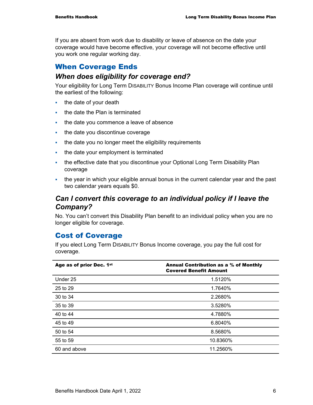If you are absent from work due to disability or leave of absence on the date your coverage would have become effective, your coverage will not become effective until you work one regular working day.

# When Coverage Ends

### *When does eligibility for coverage end?*

Your eligibility for Long Term DISABILITY Bonus Income Plan coverage will continue until the earliest of the following:

- $\blacksquare$  the date of your death
- the date the Plan is terminated
- the date you commence a leave of absence
- the date you discontinue coverage
- the date you no longer meet the eligibility requirements
- the date your employment is terminated
- the effective date that you discontinue your Optional Long Term Disability Plan coverage
- the year in which your eligible annual bonus in the current calendar year and the past two calendar years equals \$0.

# *Can I convert this coverage to an individual policy if I leave the Company?*

No. You can't convert this Disability Plan benefit to an individual policy when you are no longer eligible for coverage.

# Cost of Coverage

If you elect Long Term DISABILITY Bonus Income coverage, you pay the full cost for coverage.

| Age as of prior Dec. 1st | Annual Contribution as a % of Monthly<br><b>Covered Benefit Amount</b> |
|--------------------------|------------------------------------------------------------------------|
| Under 25                 | 1.5120%                                                                |
| 25 to 29                 | 1.7640%                                                                |
| 30 to 34                 | 2.2680%                                                                |
| 35 to 39                 | 3.5280%                                                                |
| 40 to 44                 | 4.7880%                                                                |
| 45 to 49                 | 6.8040%                                                                |
| 50 to 54                 | 8.5680%                                                                |
| 55 to 59                 | 10.8360%                                                               |
| 60 and above             | 11.2560%                                                               |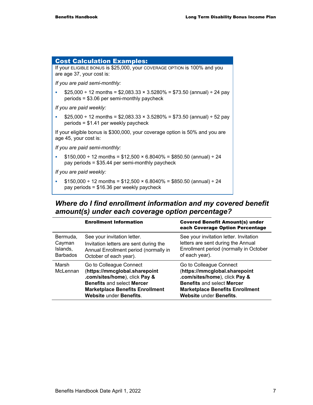۰

| <b>Cost Calculation Examples:</b>                                                                                               |
|---------------------------------------------------------------------------------------------------------------------------------|
| If your ELIGIBLE BONUS is \$25,000, your COVERAGE OPTION is 100% and you<br>are age 37, your cost is:                           |
| If you are paid semi-monthly:                                                                                                   |
| $$25,000 \div 12$ months = \$2,083.33 × 3.5280% = \$73.50 (annual) $\div 24$ pay<br>$periods = $3.06$ per semi-monthly paycheck |
| If you are paid weekly:                                                                                                         |
| $$25,000 \div 12$ months = \$2,083.33 × 3.5280% = \$73.50 (annual) $\div 52$ pay<br>$periods = $1.41$ per weekly paycheck       |
| If your eligible bonus is \$300,000, your coverage option is 50% and you are<br>age 45, your cost is:                           |
| If you are paid semi-monthly:                                                                                                   |
| $$150,000 \div 12$ months = \$12,500 × 6.8040% = \$850.50 (annual) ÷ 24<br>pay periods = $$35.44$ per semi-monthly paycheck     |
| If you are paid weekly:                                                                                                         |
| $$150,000 \div 12$ months = \$12,500 × 6.8040% = \$850.50 (annual) ÷ 24<br>pay periods = \$16.36 per weekly paycheck            |

# *Where do I find enrollment information and my covered benefit amount(s) under each coverage option percentage?*

|                                                   | <b>Enrollment Information</b>                                                                                                                                                                              | <b>Covered Benefit Amount(s) under</b><br>each Coverage Option Percentage                                                                                                                                  |
|---------------------------------------------------|------------------------------------------------------------------------------------------------------------------------------------------------------------------------------------------------------------|------------------------------------------------------------------------------------------------------------------------------------------------------------------------------------------------------------|
| Bermuda,<br>Cayman<br>Islands,<br><b>Barbados</b> | See your invitation letter.<br>Invitation letters are sent during the<br>Annual Enrollment period (normally in<br>October of each year).                                                                   | See your invitation letter. Invitation<br>letters are sent during the Annual<br>Enrollment period (normally in October<br>of each year).                                                                   |
| Marsh<br>McLennan                                 | Go to Colleague Connect<br>(https://mmcglobal.sharepoint<br>.com/sites/home), click Pay &<br><b>Benefits and select Mercer</b><br><b>Marketplace Benefits Enrollment</b><br><b>Website under Benefits.</b> | Go to Colleague Connect<br>(https://mmcglobal.sharepoint<br>.com/sites/home), click Pay &<br><b>Benefits and select Mercer</b><br><b>Marketplace Benefits Enrollment</b><br><b>Website under Benefits.</b> |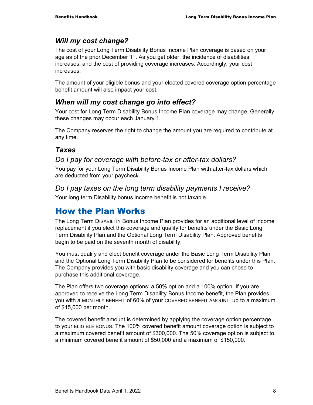# *Will my cost change?*

The cost of your Long Term Disability Bonus Income Plan coverage is based on your age as of the prior December  $1<sup>st</sup>$ . As you get older, the incidence of disabilities increases, and the cost of providing coverage increases. Accordingly, your cost increases.

The amount of your eligible bonus and your elected covered coverage option percentage benefit amount will also impact your cost.

# *When will my cost change go into effect?*

Your cost for Long Term Disability Bonus Income Plan coverage may change. Generally, these changes may occur each January 1.

The Company reserves the right to change the amount you are required to contribute at any time.

# *Taxes*

# *Do I pay for coverage with before-tax or after-tax dollars?*

You pay for your Long Term Disability Bonus Income Plan with after-tax dollars which are deducted from your paycheck.

# *Do I pay taxes on the long term disability payments I receive?*

Your long term Disability bonus income benefit is not taxable.

# How the Plan Works

The Long Term DISABILITY Bonus Income Plan provides for an additional level of income replacement if you elect this coverage and qualify for benefits under the Basic Long Term Disability Plan and the Optional Long Term Disability Plan. Approved benefits begin to be paid on the seventh month of disability.

You must qualify and elect benefit coverage under the Basic Long Term Disability Plan and the Optional Long Term Disability Plan to be considered for benefits under this Plan. The Company provides you with basic disability coverage and you can chose to purchase this additional coverage.

The Plan offers two coverage options: a 50% option and a 100% option. If you are approved to receive the Long Term Disability Bonus Income benefit, the Plan provides you with a MONTHLY BENEFIT of 60% of your COVERED BENEFIT AMOUNT, up to a maximum of \$15,000 per month.

The covered benefit amount is determined by applying the coverage option percentage to your ELIGIBLE BONUS. The 100% covered benefit amount coverage option is subject to a maximum covered benefit amount of \$300,000. The 50% coverage option is subject to a minimum covered benefit amount of \$50,000 and a maximum of \$150,000.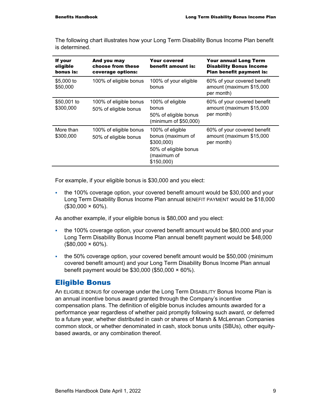If your eligible bonus is: And you may choose from these coverage options: Your covered benefit amount is: Your annual Long Term Disability Bonus Income Plan benefit payment is: \$5,000 to \$50,000 100% of eligible bonus 100% of your eligible bonus 60% of your covered benefit amount (maximum \$15,000 per month) \$50,001 to \$300,000 100% of eligible bonus 50% of eligible bonus 100% of eligible bonus 50% of eligible bonus (minimum of \$50,000) 60% of your covered benefit amount (maximum \$15,000 per month) More than \$300,000 100% of eligible bonus 50% of eligible bonus 100% of eligible bonus (maximum of \$300,000) 50% of eligible bonus 60% of your covered benefit amount (maximum \$15,000 per month)

The following chart illustrates how your Long Term Disability Bonus Income Plan benefit is determined.

For example, if your eligible bonus is \$30,000 and you elect:

 the 100% coverage option, your covered benefit amount would be \$30,000 and your Long Term Disability Bonus Income Plan annual BENEFIT PAYMENT would be \$18,000  $($30,000 \times 60\%).$ 

(maximum of \$150,000)

As another example, if your eligible bonus is \$80,000 and you elect:

- the 100% coverage option, your covered benefit amount would be \$80,000 and your Long Term Disability Bonus Income Plan annual benefit payment would be \$48,000  $($80,000 \times 60\%).$
- the 50% coverage option, your covered benefit amount would be \$50,000 (minimum covered benefit amount) and your Long Term Disability Bonus Income Plan annual benefit payment would be \$30,000 (\$50,000 × 60%).

### Eligible Bonus

An ELIGIBLE BONUS for coverage under the Long Term DISABILITY Bonus Income Plan is an annual incentive bonus award granted through the Company's incentive compensation plans. The definition of eligible bonus includes amounts awarded for a performance year regardless of whether paid promptly following such award, or deferred to a future year, whether distributed in cash or shares of Marsh & McLennan Companies common stock, or whether denominated in cash, stock bonus units (SBUs), other equitybased awards, or any combination thereof.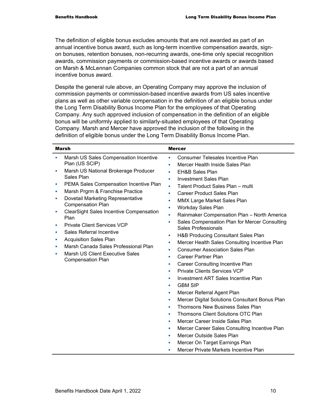The definition of eligible bonus excludes amounts that are not awarded as part of an annual incentive bonus award, such as long-term incentive compensation awards, signon bonuses, retention bonuses, non-recurring awards, one-time only special recognition awards, commission payments or commission-based incentive awards or awards based on Marsh & McLennan Companies common stock that are not a part of an annual incentive bonus award.

Despite the general rule above, an Operating Company may approve the inclusion of commission payments or commission-based incentive awards from US sales incentive plans as well as other variable compensation in the definition of an eligible bonus under the Long Term Disability Bonus Income Plan for the employees of that Operating Company. Any such approved inclusion of compensation in the definition of an eligible bonus will be uniformly applied to similarly-situated employees of that Operating Company. Marsh and Mercer have approved the inclusion of the following in the definition of eligible bonus under the Long Term Disability Bonus Income Plan.

| <b>Marsh</b> |                                                        | <b>Mercer</b> |                                                                      |
|--------------|--------------------------------------------------------|---------------|----------------------------------------------------------------------|
| ٠            | Marsh US Sales Compensation Incentive                  | ٠             | <b>Consumer Telesales Incentive Plan</b>                             |
|              | Plan (US SCIP)                                         |               | Mercer Health Inside Sales Plan                                      |
| ×            | Marsh US National Brokerage Producer                   | a,            | <b>EH&amp;B Sales Plan</b>                                           |
|              | Sales Plan                                             | ×             | <b>Investment Sales Plan</b>                                         |
| ш            | PEMA Sales Compensation Incentive Plan                 | a.            | Talent Product Sales Plan - multi                                    |
| ×            | Marsh Prgrm & Franchise Practice                       | ٠             | <b>Career Product Sales Plan</b>                                     |
| ×            | Dovetail Marketing Representative                      | ×             | <b>MMX Large Market Sales Plan</b>                                   |
|              | <b>Compensation Plan</b>                               | ٠             | <b>Workday Sales Plan</b>                                            |
| ×            | <b>ClearSight Sales Incentive Compensation</b><br>Plan | a,            | Rainmaker Compensation Plan - North America                          |
|              | <b>Private Client Services VCP</b>                     | ×             | Sales Compensation Plan for Mercer Consulting<br>Sales Professionals |
| a.           | <b>Sales Referral Incentive</b>                        | ×             | H&B Producing Consultant Sales Plan                                  |
| ×            | <b>Acquisition Sales Plan</b>                          | ×             | Mercer Health Sales Consulting Incentive Plan                        |
| ×            | Marsh Canada Sales Professional Plan                   | ٠             | <b>Consumer Association Sales Plan</b>                               |
| m.           | <b>Marsh US Client Executive Sales</b>                 | ×             | <b>Career Partner Plan</b>                                           |
|              | <b>Compensation Plan</b>                               | ×             | <b>Career Consulting Incentive Plan</b>                              |
|              |                                                        | a.            | <b>Private Clients Services VCP</b>                                  |
|              |                                                        | ×             | <b>Investment ART Sales Incentive Plan</b>                           |
|              |                                                        |               | <b>GBM SIP</b>                                                       |
|              |                                                        | ×             | Mercer Referral Agent Plan                                           |
|              |                                                        | ×             | Mercer Digital Solutions Consultant Bonus Plan                       |
|              |                                                        | ×             | Thomsons New Business Sales Plan                                     |
|              |                                                        | ×             | Thomsons Client Solutions OTC Plan                                   |
|              |                                                        | ×             | Mercer Career Inside Sales Plan                                      |
|              |                                                        | ×             | Mercer Career Sales Consulting Incentive Plan                        |
|              |                                                        |               | Mercer Outside Sales Plan                                            |
|              |                                                        |               | Mercer On Target Earnings Plan                                       |
|              |                                                        |               | Mercer Private Markets Incentive Plan                                |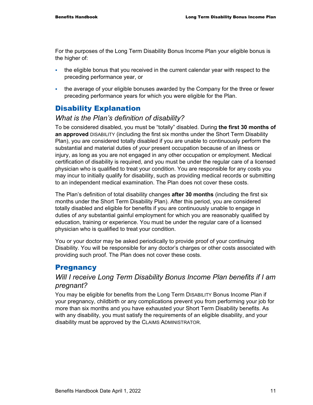For the purposes of the Long Term Disability Bonus Income Plan your eligible bonus is the higher of:

- the eligible bonus that you received in the current calendar year with respect to the preceding performance year, or
- the average of your eligible bonuses awarded by the Company for the three or fewer preceding performance years for which you were eligible for the Plan.

# Disability Explanation

## *What is the Plan's definition of disability?*

To be considered disabled, you must be "totally" disabled. During **the first 30 months of an approved** DISABILITY (including the first six months under the Short Term Disability Plan), you are considered totally disabled if you are unable to continuously perform the substantial and material duties of *your* present occupation because of an illness or injury, as long as you are not engaged in any other occupation or employment. Medical certification of disability is required, and you must be under the regular care of a licensed physician who is qualified to treat your condition. You are responsible for any costs you may incur to initially qualify for disability, such as providing medical records or submitting to an independent medical examination. The Plan does not cover these costs.

The Plan's definition of total disability changes **after 30 months** (including the first six months under the Short Term Disability Plan). After this period, you are considered totally disabled and eligible for benefits if you are continuously unable to engage in duties of *any* substantial gainful employment for which you are reasonably qualified by education, training or experience. You must be under the regular care of a licensed physician who is qualified to treat your condition.

You or your doctor may be asked periodically to provide proof of your continuing Disability. You will be responsible for any doctor's charges or other costs associated with providing such proof. The Plan does not cover these costs.

# **Pregnancy**

# *Will I receive Long Term Disability Bonus Income Plan benefits if I am pregnant?*

You may be eligible for benefits from the Long Term DISABILITY Bonus Income Plan if your pregnancy, childbirth or any complications prevent you from performing your job for more than six months and you have exhausted your Short Term Disability benefits. As with any disability, you must satisfy the requirements of an eligible disability, and your disability must be approved by the CLAIMS ADMINISTRATOR.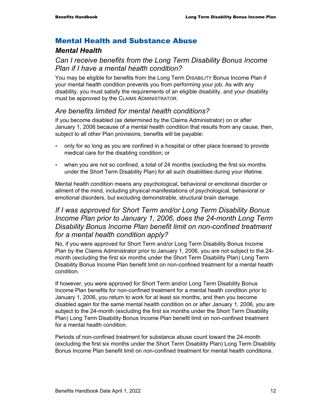# Mental Health and Substance Abuse

# *Mental Health*

# *Can I receive benefits from the Long Term Disability Bonus Income Plan if I have a mental health condition?*

You may be eligible for benefits from the Long Term DISABILITY Bonus Income Plan if your mental health condition prevents you from performing your job. As with any disability, you must satisfy the requirements of an eligible disability, and your disability must be approved by the CLAIMS ADMINISTRATOR.

# *Are benefits limited for mental health conditions?*

If you become disabled (as determined by the Claims Administrator) on or after January 1, 2006 because of a mental health condition that results from any cause, then, subject to all other Plan provisions, benefits will be payable:

- only for so long as you are confined in a hospital or other place licensed to provide medical care for the disabling condition; or
- when you are not so confined, a total of 24 months (excluding the first six months under the Short Term Disability Plan) for all such disabilities during your lifetime.

Mental health condition means any psychological, behavioral or emotional disorder or ailment of the mind, including physical manifestations of psychological, behavioral or emotional disorders, but excluding demonstrable, structural brain damage.

# *If I was approved for Short Term and/or Long Term Disability Bonus Income Plan prior to January 1, 2006, does the 24-month Long Term Disability Bonus Income Plan benefit limit on non-confined treatment for a mental health condition apply?*

No, if you were approved for Short Term and/or Long Term Disability Bonus Income Plan by the Claims Administrator prior to January 1, 2006, you are not subject to the 24 month (excluding the first six months under the Short Term Disability Plan) Long Term Disability Bonus Income Plan benefit limit on non-confined treatment for a mental health condition.

If however, you were approved for Short Term and/or Long Term Disability Bonus Income Plan benefits for non-confined treatment for a mental health condition prior to January 1, 2006, you return to work for at least six months, and then you become disabled again for the same mental health condition on or after January 1, 2006, you are subject to the 24-month (excluding the first six months under the Short Term Disability Plan) Long Term Disability Bonus Income Plan benefit limit on non-confined treatment for a mental health condition.

Periods of non-confined treatment for substance abuse count toward the 24-month (excluding the first six months under the Short Term Disability Plan) Long Term Disability Bonus Income Plan benefit limit on non-confined treatment for mental health conditions.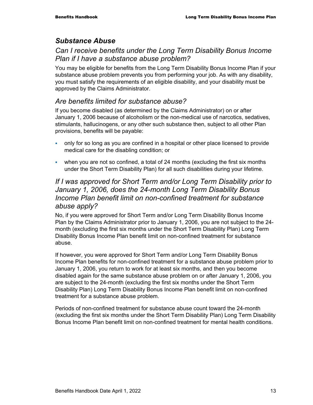# *Substance Abuse*

# *Can I receive benefits under the Long Term Disability Bonus Income Plan if I have a substance abuse problem?*

You may be eligible for benefits from the Long Term Disability Bonus Income Plan if your substance abuse problem prevents you from performing your job. As with any disability, you must satisfy the requirements of an eligible disability, and your disability must be approved by the Claims Administrator.

# *Are benefits limited for substance abuse?*

If you become disabled (as determined by the Claims Administrator) on or after January 1, 2006 because of alcoholism or the non-medical use of narcotics, sedatives, stimulants, hallucinogens, or any other such substance then, subject to all other Plan provisions, benefits will be payable:

- only for so long as you are confined in a hospital or other place licensed to provide medical care for the disabling condition; or
- when you are not so confined, a total of 24 months (excluding the first six months under the Short Term Disability Plan) for all such disabilities during your lifetime.

# *If I was approved for Short Term and/or Long Term Disability prior to January 1, 2006, does the 24-month Long Term Disability Bonus Income Plan benefit limit on non-confined treatment for substance abuse apply?*

No, if you were approved for Short Term and/or Long Term Disability Bonus Income Plan by the Claims Administrator prior to January 1, 2006, you are not subject to the 24 month (excluding the first six months under the Short Term Disability Plan) Long Term Disability Bonus Income Plan benefit limit on non-confined treatment for substance abuse.

If however, you were approved for Short Term and/or Long Term Disability Bonus Income Plan benefits for non-confined treatment for a substance abuse problem prior to January 1, 2006, you return to work for at least six months, and then you become disabled again for the same substance abuse problem on or after January 1, 2006, you are subject to the 24-month (excluding the first six months under the Short Term Disability Plan) Long Term Disability Bonus Income Plan benefit limit on non-confined treatment for a substance abuse problem.

Periods of non-confined treatment for substance abuse count toward the 24-month (excluding the first six months under the Short Term Disability Plan) Long Term Disability Bonus Income Plan benefit limit on non-confined treatment for mental health conditions.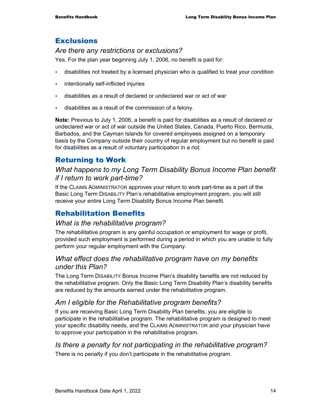# **Exclusions**

## *Are there any restrictions or exclusions?*

Yes. For the plan year beginning July 1, 2006, no benefit is paid for:

- disabilities not treated by a licensed physician who is qualified to treat your condition
- **intentionally self-inflicted injuries**
- disabilities as a result of declared or undeclared war or act of war
- disabilities as a result of the commission of a felony.

**Note:** Previous to July 1, 2006, a benefit is paid for disabilities as a result of declared or undeclared war or act of war outside the United States, Canada, Puerto Rico, Bermuda, Barbados, and the Cayman Islands for covered employees assigned on a temporary basis by the Company outside their country of regular employment but no benefit is paid for disabilities as a result of voluntary participation in a riot.

# Returning to Work

# *What happens to my Long Term Disability Bonus Income Plan benefit if I return to work part-time?*

If the CLAIMS ADMINISTRATOR approves your return to work part-time as a part of the Basic Long Term DISABILITY Plan's rehabilitative employment program, you will still receive your entire Long Term Disability Bonus Income Plan benefit.

# Rehabilitation Benefits

# *What is the rehabilitative program?*

The rehabilitative program is any gainful occupation or employment for wage or profit, provided such employment is performed during a period in which you are unable to fully perform your regular employment with the Company.

# *What effect does the rehabilitative program have on my benefits under this Plan?*

The Long Term DISABILITY Bonus Income Plan's disability benefits are not reduced by the rehabilitative program. Only the Basic Long Term Disability Plan's disability benefits are reduced by the amounts earned under the rehabilitative program.

# *Am I eligible for the Rehabilitative program benefits?*

If you are receiving Basic Long Term Disability Plan benefits, you are eligible to participate in the rehabilitative program. The rehabilitative program is designed to meet your specific disability needs, and the CLAIMS ADMINISTRATOR and your physician have to approve your participation in the rehabilitative program.

## *Is there a penalty for not participating in the rehabilitative program?*  There is no penalty if you don't participate in the rehabilitative program.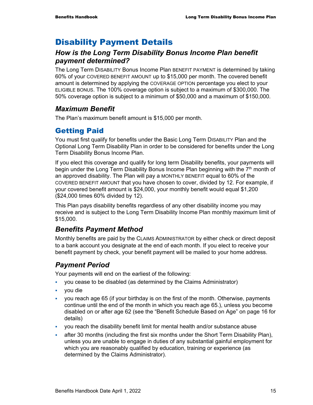# Disability Payment Details

# *How is the Long Term Disability Bonus Income Plan benefit payment determined?*

The Long Term DISABILITY Bonus Income Plan BENEFIT PAYMENT is determined by taking 60% of your COVERED BENEFIT AMOUNT up to \$15,000 per month. The covered benefit amount is determined by applying the COVERAGE OPTION percentage you elect to your ELIGIBLE BONUS. The 100% coverage option is subject to a maximum of \$300,000. The 50% coverage option is subject to a minimum of \$50,000 and a maximum of \$150,000.

# *Maximum Benefit*

The Plan's maximum benefit amount is \$15,000 per month.

# Getting Paid

You must first qualify for benefits under the Basic Long Term DISABILITY Plan and the Optional Long Term Disability Plan in order to be considered for benefits under the Long Term Disability Bonus Income Plan.

If you elect this coverage and qualify for long term Disability benefits, your payments will begin under the Long Term Disability Bonus Income Plan beginning with the 7<sup>th</sup> month of an approved disability. The Plan will pay a MONTHLY BENEFIT equal to 60% of the COVERED BENEFIT AMOUNT that you have chosen to cover, divided by 12. For example, if your covered benefit amount is \$24,000, your monthly benefit would equal \$1,200 (\$24,000 times 60% divided by 12).

This Plan pays disability benefits regardless of any other disability income you may receive and is subject to the Long Term Disability Income Plan monthly maximum limit of \$15,000.

# *Benefits Payment Method*

Monthly benefits are paid by the CLAIMS ADMINISTRATOR by either check or direct deposit to a bank account you designate at the end of each month. If you elect to receive your benefit payment by check, your benefit payment will be mailed to your home address.

# *Payment Period*

Your payments will end on the earliest of the following:

- you cease to be disabled (as determined by the Claims Administrator)
- you die
- you reach age 65 (if your birthday is on the first of the month. Otherwise, payments continue until the end of the month in which you reach age 65.), unless you become disabled on or after age 62 (see the "Benefit Schedule Based on Age" on page 16 for details)
- you reach the disability benefit limit for mental health and/or substance abuse
- after 30 months (including the first six months under the Short Term Disability Plan), unless you are unable to engage in duties of any substantial gainful employment for which you are reasonably qualified by education, training or experience (as determined by the Claims Administrator).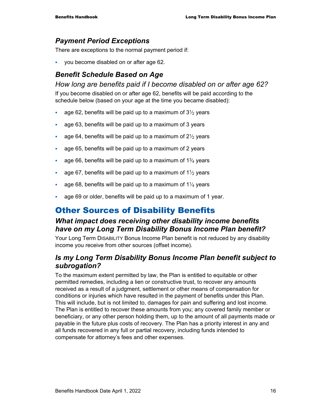# *Payment Period Exceptions*

There are exceptions to the normal payment period if:

you become disabled on or after age 62.

# *Benefit Schedule Based on Age*

### *How long are benefits paid if I become disabled on or after age 62?*

If you become disabled on or after age 62, benefits will be paid according to the schedule below (based on your age at the time you became disabled):

- age 62, benefits will be paid up to a maximum of  $3\frac{1}{2}$  years
- age 63, benefits will be paid up to a maximum of 3 years
- age 64, benefits will be paid up to a maximum of  $2\frac{1}{2}$  years
- age 65, benefits will be paid up to a maximum of 2 years
- age 66, benefits will be paid up to a maximum of  $1\frac{3}{4}$  years
- age 67, benefits will be paid up to a maximum of  $1\frac{1}{2}$  years
- age 68, benefits will be paid up to a maximum of  $1\frac{1}{4}$  years
- age 69 or older, benefits will be paid up to a maximum of 1 year.

# Other Sources of Disability Benefits

# *What impact does receiving other disability income benefits have on my Long Term Disability Bonus Income Plan benefit?*

Your Long Term DISABILITY Bonus Income Plan benefit is not reduced by any disability income you receive from other sources (offset income).

# *Is my Long Term Disability Bonus Income Plan benefit subject to subrogation?*

To the maximum extent permitted by law, the Plan is entitled to equitable or other permitted remedies, including a lien or constructive trust, to recover any amounts received as a result of a judgment, settlement or other means of compensation for conditions or injuries which have resulted in the payment of benefits under this Plan. This will include, but is not limited to, damages for pain and suffering and lost income. The Plan is entitled to recover these amounts from you; any covered family member or beneficiary, or any other person holding them, up to the amount of all payments made or payable in the future plus costs of recovery. The Plan has a priority interest in any and all funds recovered in any full or partial recovery, including funds intended to compensate for attorney's fees and other expenses.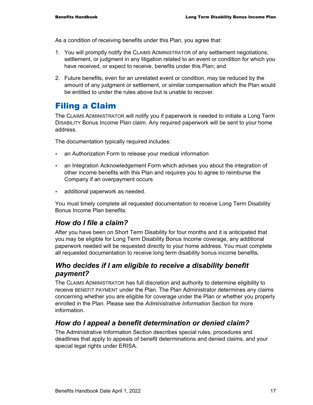As a condition of receiving benefits under this Plan, you agree that:

- 1. You will promptly notify the CLAIMS ADMINISTRATOR of any settlement negotiations, settlement, or judgment in any litigation related to an event or condition for which you have received, or expect to receive, benefits under this Plan; and
- 2. Future benefits, even for an unrelated event or condition, may be reduced by the amount of any judgment or settlement, or similar compensation which the Plan would be entitled to under the rules above but is unable to recover.

# Filing a Claim

The CLAIMS ADMINISTRATOR will notify you if paperwork is needed to initiate a Long Term DISABILITY Bonus Income Plan claim. Any required paperwork will be sent to your home address.

The documentation typically required includes:

- an Authorization Form to release your medical information
- an Integration Acknowledgement Form which advises you about the integration of other income benefits with this Plan and requires you to agree to reimburse the Company if an overpayment occurs
- **additional paperwork as needed.**

You must timely complete all requested documentation to receive Long Term Disability Bonus Income Plan benefits.

# *How do I file a claim?*

After you have been on Short Term Disability for four months and it is anticipated that you may be eligible for Long Term Disability Bonus Income coverage, any additional paperwork needed will be requested directly to your home address. You must complete all requested documentation to receive long term disability bonus income benefits.

# *Who decides if I am eligible to receive a disability benefit payment?*

The CLAIMS ADMINISTRATOR has full discretion and authority to determine eligibility to receive BENEFIT PAYMENT under the Plan. The Plan Administrator determines any claims concerning whether you are eligible for coverage under the Plan or whether you properly enrolled in the Plan. Please see the *Administrative Information* Section for more information.

# *How do I appeal a benefit determination or denied claim?*

The Administrative Information Section describes special rules, procedures and deadlines that apply to appeals of benefit determinations and denied claims, and your special legal rights under ERISA.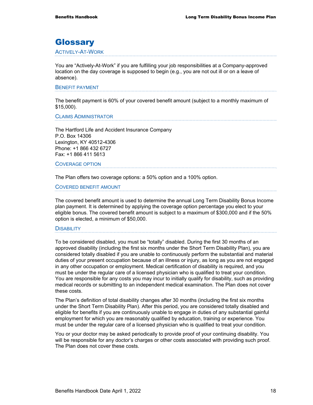# **Glossary**

#### ACTIVELY-AT-WORK

You are "Actively-At-Work" if you are fulfilling your job responsibilities at a Company-approved location on the day coverage is supposed to begin (e.g., you are not out ill or on a leave of absence).

#### BENEFIT PAYMENT

The benefit payment is 60% of your covered benefit amount (subject to a monthly maximum of \$15,000).

CLAIMS ADMINISTRATOR

The Hartford Life and Accident Insurance Company P.O. Box 14306 Lexington, KY 40512-4306 Phone: +1 866 432 6727 Fax: +1 866 411 5613

#### COVERAGE OPTION

The Plan offers two coverage options: a 50% option and a 100% option.

COVERED BENEFIT AMOUNT

The covered benefit amount is used to determine the annual Long Term Disability Bonus Income plan payment. It is determined by applying the coverage option percentage you elect to your eligible bonus. The covered benefit amount is subject to a maximum of \$300,000 and if the 50% option is elected, a minimum of \$50,000.

#### **DISABILITY**

To be considered disabled, you must be "totally" disabled. During the first 30 months of an approved disability (including the first six months under the Short Term Disability Plan), you are considered totally disabled if you are unable to continuously perform the substantial and material duties of your present occupation because of an illness or injury, as long as you are not engaged in any other occupation or employment. Medical certification of disability is required, and you must be under the regular care of a licensed physician who is qualified to treat your condition. You are responsible for any costs you may incur to initially qualify for disability, such as providing medical records or submitting to an independent medical examination. The Plan does not cover these costs.

The Plan's definition of total disability changes after 30 months (including the first six months under the Short Term Disability Plan). After this period, you are considered totally disabled and eligible for benefits if you are continuously unable to engage in duties of any substantial gainful employment for which you are reasonably qualified by education, training or experience. You must be under the regular care of a licensed physician who is qualified to treat your condition.

You or your doctor may be asked periodically to provide proof of your continuing disability. You will be responsible for any doctor's charges or other costs associated with providing such proof. The Plan does not cover these costs.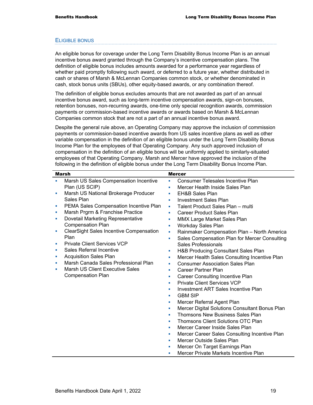#### ELIGIBLE BONUS

An eligible bonus for coverage under the Long Term Disability Bonus Income Plan is an annual incentive bonus award granted through the Company's incentive compensation plans. The definition of eligible bonus includes amounts awarded for a performance year regardless of whether paid promptly following such award, or deferred to a future year, whether distributed in cash or shares of Marsh & McLennan Companies common stock, or whether denominated in cash, stock bonus units (SBUs), other equity-based awards, or any combination thereof.

The definition of eligible bonus excludes amounts that are not awarded as part of an annual incentive bonus award, such as long-term incentive compensation awards, sign-on bonuses, retention bonuses, non-recurring awards, one-time only special recognition awards, commission payments or commission-based incentive awards or awards based on Marsh & McLennan Companies common stock that are not a part of an annual incentive bonus award.

Despite the general rule above, an Operating Company may approve the inclusion of commission payments or commission-based incentive awards from US sales incentive plans as well as other variable compensation in the definition of an eligible bonus under the Long Term Disability Bonus Income Plan for the employees of that Operating Company. Any such approved inclusion of compensation in the definition of an eligible bonus will be uniformly applied to similarly-situated employees of that Operating Company. Marsh and Mercer have approved the inclusion of the following in the definition of eligible bonus under the Long Term Disability Bonus Income Plan.

|    | <b>Marsh</b>                                   |    | <b>Mercer</b>                                  |
|----|------------------------------------------------|----|------------------------------------------------|
| a. | Marsh US Sales Compensation Incentive          | m. | Consumer Telesales Incentive Plan              |
|    | Plan (US SCIP)                                 | ٠  | Mercer Health Inside Sales Plan                |
| ×  | Marsh US National Brokerage Producer           | ×  | <b>EH&amp;B Sales Plan</b>                     |
|    | Sales Plan                                     | ×  | <b>Investment Sales Plan</b>                   |
| ×  | PEMA Sales Compensation Incentive Plan         | ٠  | Talent Product Sales Plan - multi              |
| ×  | Marsh Prgrm & Franchise Practice               | ×. | <b>Career Product Sales Plan</b>               |
| ×  | Dovetail Marketing Representative              | m. | MMX Large Market Sales Plan                    |
|    | <b>Compensation Plan</b>                       | ٠  | Workday Sales Plan                             |
| ш  | <b>ClearSight Sales Incentive Compensation</b> | ×  | Rainmaker Compensation Plan - North America    |
|    | Plan                                           | ٠  | Sales Compensation Plan for Mercer Consulting  |
|    | <b>Private Client Services VCP</b>             |    | Sales Professionals                            |
| ×  | Sales Referral Incentive                       | ٠  | H&B Producing Consultant Sales Plan            |
| ×  | <b>Acquisition Sales Plan</b>                  | ×  | Mercer Health Sales Consulting Incentive Plan  |
| п  | Marsh Canada Sales Professional Plan           | ×  | <b>Consumer Association Sales Plan</b>         |
|    | <b>Marsh US Client Executive Sales</b>         | ٠  | Career Partner Plan                            |
|    | <b>Compensation Plan</b>                       | ×  | <b>Career Consulting Incentive Plan</b>        |
|    |                                                | m. | <b>Private Client Services VCP</b>             |
|    |                                                | ×  | <b>Investment ART Sales Incentive Plan</b>     |
|    |                                                | ٠  | <b>GBM SIP</b>                                 |
|    |                                                | ×  | Mercer Referral Agent Plan                     |
|    |                                                | ×  | Mercer Digital Solutions Consultant Bonus Plan |
|    |                                                | ×  | Thomsons New Business Sales Plan               |
|    |                                                | ٠  | Thomsons Client Solutions OTC Plan             |
|    |                                                | ٠  | Mercer Career Inside Sales Plan                |
|    |                                                | ×  | Mercer Career Sales Consulting Incentive Plan  |
|    |                                                | ٠  | Mercer Outside Sales Plan                      |
|    |                                                | ×  | Mercer On Target Earnings Plan                 |
|    |                                                | ×  | Mercer Private Markets Incentive Plan          |